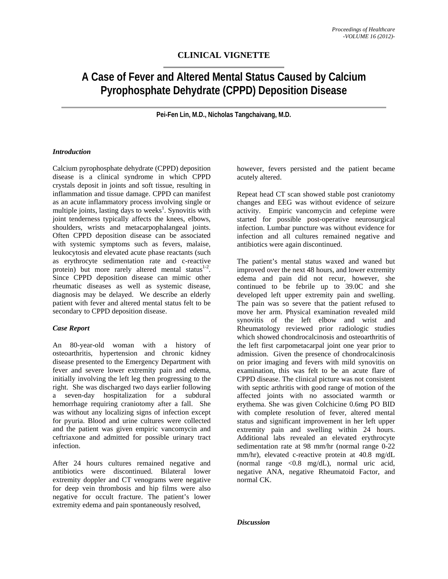## **CLINICAL VIGNETTE**

# **A Case of Fever and Altered Mental Status Caused by Calcium Pyrophosphate Dehydrate (CPPD) Deposition Disease**

**Pei-Fen Lin, M.D., Nicholas Tangchaivang, M.D.** 

#### *Introduction*

Calcium pyrophosphate dehydrate (CPPD) deposition disease is a clinical syndrome in which CPPD crystals deposit in joints and soft tissue, resulting in inflammation and tissue damage. CPPD can manifest as an acute inflammatory process involving single or multiple joints, lasting days to weeks<sup>1</sup>. Synovitis with joint tenderness typically affects the knees, elbows, shoulders, wrists and metacarpophalangeal joints. Often CPPD deposition disease can be associated with systemic symptoms such as fevers, malaise, leukocytosis and elevated acute phase reactants (such as erythrocyte sedimentation rate and c-reactive protein) but more rarely altered mental status $1-2$ . Since CPPD deposition disease can mimic other rheumatic diseases as well as systemic disease, diagnosis may be delayed. We describe an elderly patient with fever and altered mental status felt to be secondary to CPPD deposition disease.

#### *Case Report*

An 80-year-old woman with a history of osteoarthritis, hypertension and chronic kidney disease presented to the Emergency Department with fever and severe lower extremity pain and edema, initially involving the left leg then progressing to the right. She was discharged two days earlier following a seven-day hospitalization for a subdural hemorrhage requiring craniotomy after a fall. She was without any localizing signs of infection except for pyuria. Blood and urine cultures were collected and the patient was given empiric vancomycin and ceftriaxone and admitted for possible urinary tract infection.

After 24 hours cultures remained negative and antibiotics were discontinued. Bilateral lower extremity doppler and CT venograms were negative for deep vein thrombosis and hip films were also negative for occult fracture. The patient's lower extremity edema and pain spontaneously resolved,

however, fevers persisted and the patient became acutely altered.

Repeat head CT scan showed stable post craniotomy changes and EEG was without evidence of seizure activity. Empiric vancomycin and cefepime were started for possible post-operative neurosurgical infection. Lumbar puncture was without evidence for infection and all cultures remained negative and antibiotics were again discontinued.

The patient's mental status waxed and waned but improved over the next 48 hours, and lower extremity edema and pain did not recur, however, she continued to be febrile up to 39.0C and she developed left upper extremity pain and swelling. The pain was so severe that the patient refused to move her arm. Physical examination revealed mild synovitis of the left elbow and wrist and Rheumatology reviewed prior radiologic studies which showed chondrocalcinosis and osteoarthritis of the left first carpometacarpal joint one year prior to admission. Given the presence of chondrocalcinosis on prior imaging and fevers with mild synovitis on examination, this was felt to be an acute flare of CPPD disease. The clinical picture was not consistent with septic arthritis with good range of motion of the affected joints with no associated warmth or erythema. She was given Colchicine 0.6mg PO BID with complete resolution of fever, altered mental status and significant improvement in her left upper extremity pain and swelling within 24 hours. Additional labs revealed an elevated erythrocyte sedimentation rate at 98 mm/hr (normal range 0-22 mm/hr), elevated c-reactive protein at 40.8 mg/dL (normal range <0.8 mg/dL), normal uric acid, negative ANA, negative Rheumatoid Factor, and normal CK.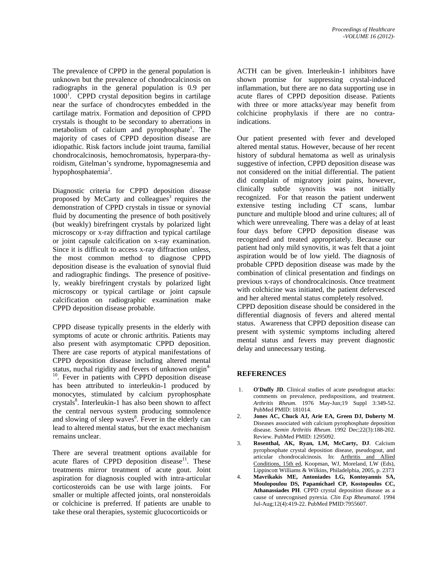The prevalence of CPPD in the general population is unknown but the prevalence of chondrocalcinosis on radiographs in the general population is 0.9 per 1000<sup>1</sup>. CPPD crystal deposition begins in cartilage near the surface of chondrocytes embedded in the cartilage matrix. Formation and deposition of CPPD crystals is thought to be secondary to aberrations in metabolism of calcium and pyrophosphate<sup>1</sup>. The majority of cases of CPPD deposition disease are idiopathic. Risk factors include joint trauma, familial chondrocalcinosis, hemochromatosis, hyperpara-thyroidism, Gitelman's syndrome, hypomagnesemia and hypophosphatemia<sup>2</sup>.

Diagnostic criteria for CPPD deposition disease proposed by McCarty and colleagues<sup>3</sup> requires the demonstration of CPPD crystals in tissue or synovial fluid by documenting the presence of both positively (but weakly) birefringent crystals by polarized light microscopy or x-ray diffraction and typical cartilage or joint capsule calcification on x-ray examination. Since it is difficult to access x-ray diffraction unless, the most common method to diagnose CPPD deposition disease is the evaluation of synovial fluid and radiographic findings. The presence of positively, weakly birefringent crystals by polarized light microscopy or typical cartilage or joint capsule calcification on radiographic examination make CPPD deposition disease probable.

CPPD disease typically presents in the elderly with symptoms of acute or chronic arthritis. Patients may also present with asymptomatic CPPD deposition. There are case reports of atypical manifestations of CPPD deposition disease including altered mental status, nuchal rigidity and fevers of unknown origin<sup>4-</sup>  $10$ . Fever in patients with CPPD deposition disease has been attributed to interleukin-1 produced by monocytes, stimulated by calcium pyrophosphate crystals<sup>8</sup>. Interleukin-1 has also been shown to affect the central nervous system producing somnolence and slowing of sleep waves<sup>8</sup>. Fever in the elderly can lead to altered mental status, but the exact mechanism remains unclear.

There are several treatment options available for acute flares of CPPD deposition disease<sup>11</sup>. These treatments mirror treatment of acute gout. Joint aspiration for diagnosis coupled with intra-articular corticosteroids can be use with large joints. For smaller or multiple affected joints, oral nonsteroidals or colchicine is preferred. If patients are unable to take these oral therapies, systemic glucocorticoids or

ACTH can be given. Interleukin-1 inhibitors have shown promise for suppressing crystal-induced inflammation, but there are no data supporting use in acute flares of CPPD deposition disease. Patients with three or more attacks/year may benefit from colchicine prophylaxis if there are no contraindications.

Our patient presented with fever and developed altered mental status. However, because of her recent history of subdural hematoma as well as urinalysis suggestive of infection, CPPD deposition disease was not considered on the initial differential. The patient did complain of migratory joint pains, however, clinically subtle synovitis was not initially recognized. For that reason the patient underwent extensive testing including CT scans, lumbar puncture and multiple blood and urine cultures; all of which were unrevealing. There was a delay of at least four days before CPPD deposition disease was recognized and treated appropriately. Because our patient had only mild synovitis, it was felt that a joint aspiration would be of low yield. The diagnosis of probable CPPD deposition disease was made by the combination of clinical presentation and findings on previous x-rays of chondrocalcinosis. Once treatment with colchicine was initiated, the patient defervesced and her altered mental status completely resolved.

CPPD deposition disease should be considered in the differential diagnosis of fevers and altered mental status. Awareness that CPPD deposition disease can present with systemic symptoms including altered mental status and fevers may prevent diagnostic delay and unnecessary testing.

### **REFERENCES**

- 1. **O'Duffy JD**. Clinical studies of acute pseudogout attacks: comments on prevalence, predispositions, and treatment. *Arthritis Rheum*. 1976 May-Jun;19 Suppl 3:349-52. PubMed PMID: 181014.
- 2. **Jones AC, Chuck AJ, Arie EA, Green DJ, Doherty M**. Diseases associated with calcium pyrophosphate deposition disease. *Semin Arthritis Rheum*. 1992 Dec;22(3):188-202. Review. PubMed PMID: 1295092.
- 3. **Rosenthal, AK, Ryan, LM, McCarty, DJ**. Calcium pyrophosphate crystal deposition disease, pseudogout, and articular chondrocalcinosis. In: Arthritis and Allied Conditions, 15th ed, Koopman, WJ, Moreland, LW (Eds), Lippincott Williams & Wilkins, Philadelphia, 2005, p. 2373
- 4. **Mavrikakis ME, Antoniades LG, Kontoyannis SA, Moulopoulou DS, Papamichael CP, Kostopoulos CC, Athanassiades PH**. CPPD crystal deposition disease as a cause of unrecognised pyrexia. *Clin Exp Rheumatol*. 1994 Jul-Aug;12(4):419-22. PubMed PMID:7955607.